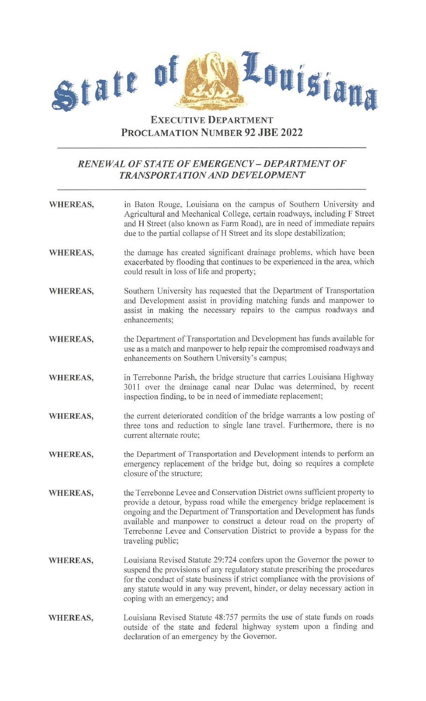

## **EXECUTIVE DEPARTMENT PROCLAMATION NUMBER 92 JBE 2022**

## *RENEWAL OF STATE OF EMERGENCY -DEPARTMENT OF TRANSPORTATION AND DEVELOPMENT*

- **WHEREAS,**  in Baton Rouge, Louisiana on the campus of Southern University and Agricultural and Mechanical College, certain roadways, including F Street and H Street (also known as Farm Road), are in need of immediate repairs due to the partial collapse of H Street and its slope destabilization;
- **WHEREAS,**  the damage has created significant drainage problems, which have been exacerbated by flooding that continues to be experienced in the area, which could result in loss of life and property;
- **WHEREAS,**  Southern University has requested that the Department of Transportation and Development assist in providing matching funds and manpower to assist in making the necessary repairs to the campus roadways and enhancements;
- **WHEREAS,**  the Department of Transportation and Development has funds available for use as a match and manpower to help repair the compromised roadways and enhancements on Southern University's campus;
- **WHEREAS,**  in Terrebonne Parish, the bridge structure that carries Louisiana Highway 3011 over the drainage canal near Dulac was determined, by recent inspection finding, to be in need of immediate replacement;
- **WHEREAS,**  the current deteriorated condition of the bridge warrants a low posting of three tons and reduction to single lane travel. Furthermore, there is no current alternate route;
- **WHEREAS,**  the Department of Transportation and Development intends to perform an emergency replacement of the bridge but, doing so requires a complete closure of the structure;
- **WHEREAS,**  the Terrebonne Levee and Conservation District owns sufficient property to provide a detour, bypass road while the emergency bridge replacement is ongoing and the Department of Transportation and Development has funds available and manpower to construct a detour road on the property of Terrebonne Levee and Conservation District to provide a bypass for the traveling public;
- **WHEREAS,**  Louisiana Revised Statute 29:724 confers upon the Governor the power to suspend the provisions of any regulatory statute prescribing the procedures for the conduct of state business if strict compliance with the provisions of any statute would in any way prevent, hinder, or delay necessary action in coping with an emergency; and
- **WHEREAS,**  Louisiana Revised Statute 48:757 permits the use of state funds on roads outside of the state and federal highway system upon a finding and declaration of an emergency by the Governor.